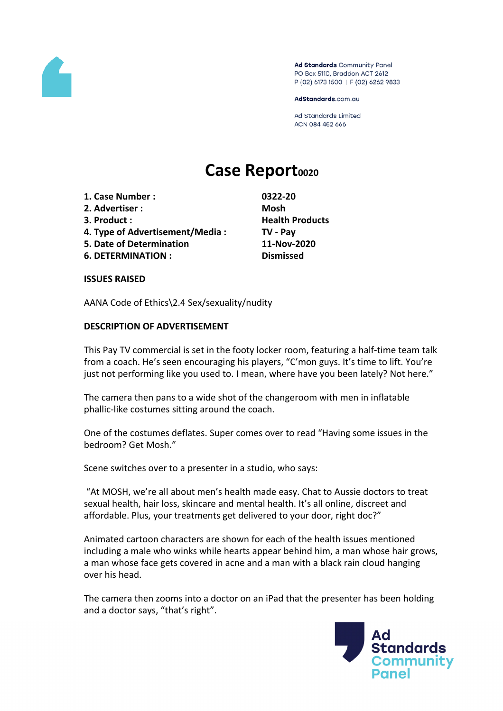

Ad Standards Community Panel PO Box 5110, Braddon ACT 2612 P (02) 6173 1500 | F (02) 6262 9833

AdStandards.com.au

**Ad Standards Limited** ACN 084 452 666

# **Case Report<sup>0020</sup>**

- **1. Case Number : 0322-20**
- **2. Advertiser : Mosh**
- 
- **4. Type of Advertisement/Media : TV - Pay**
- **5. Date of Determination 11-Nov-2020**
- **6. DETERMINATION : Dismissed**

**3. Product : Health Products**

**ISSUES RAISED**

AANA Code of Ethics\2.4 Sex/sexuality/nudity

# **DESCRIPTION OF ADVERTISEMENT**

This Pay TV commercial is set in the footy locker room, featuring a half-time team talk from a coach. He's seen encouraging his players, "C'mon guys. It's time to lift. You're just not performing like you used to. I mean, where have you been lately? Not here."

The camera then pans to a wide shot of the changeroom with men in inflatable phallic-like costumes sitting around the coach.

One of the costumes deflates. Super comes over to read "Having some issues in the bedroom? Get Mosh."

Scene switches over to a presenter in a studio, who says:

"At MOSH, we're all about men's health made easy. Chat to Aussie doctors to treat sexual health, hair loss, skincare and mental health. It's all online, discreet and affordable. Plus, your treatments get delivered to your door, right doc?"

Animated cartoon characters are shown for each of the health issues mentioned including a male who winks while hearts appear behind him, a man whose hair grows, a man whose face gets covered in acne and a man with a black rain cloud hanging over his head.

The camera then zooms into a doctor on an iPad that the presenter has been holding and a doctor says, "that's right".

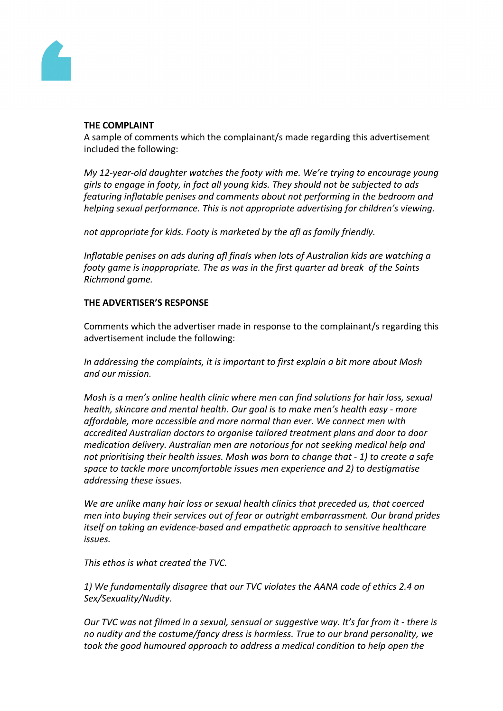

#### **THE COMPLAINT**

A sample of comments which the complainant/s made regarding this advertisement included the following:

*My 12-year-old daughter watches the footy with me. We're trying to encourage young girls to engage in footy, in fact all young kids. They should not be subjected to ads featuring inflatable penises and comments about not performing in the bedroom and helping sexual performance. This is not appropriate advertising for children's viewing.*

*not appropriate for kids. Footy is marketed by the afl as family friendly.*

*Inflatable penises on ads during afl finals when lots of Australian kids are watching a footy game is inappropriate. The as was in the first quarter ad break of the Saints Richmond game.*

## **THE ADVERTISER'S RESPONSE**

Comments which the advertiser made in response to the complainant/s regarding this advertisement include the following:

*In addressing the complaints, it is important to first explain a bit more about Mosh and our mission.*

*Mosh is a men's online health clinic where men can find solutions for hair loss, sexual health, skincare and mental health. Our goal is to make men's health easy - more affordable, more accessible and more normal than ever. We connect men with accredited Australian doctors to organise tailored treatment plans and door to door medication delivery. Australian men are notorious for not seeking medical help and not prioritising their health issues. Mosh was born to change that - 1) to create a safe space to tackle more uncomfortable issues men experience and 2) to destigmatise addressing these issues.*

*We are unlike many hair loss or sexual health clinics that preceded us, that coerced men into buying their services out of fear or outright embarrassment. Our brand prides itself on taking an evidence-based and empathetic approach to sensitive healthcare issues.*

*This ethos is what created the TVC.* 

*1) We fundamentally disagree that our TVC violates the AANA code of ethics 2.4 on Sex/Sexuality/Nudity.*

*Our TVC was not filmed in a sexual, sensual or suggestive way. It's far from it - there is no nudity and the costume/fancy dress is harmless. True to our brand personality, we took the good humoured approach to address a medical condition to help open the*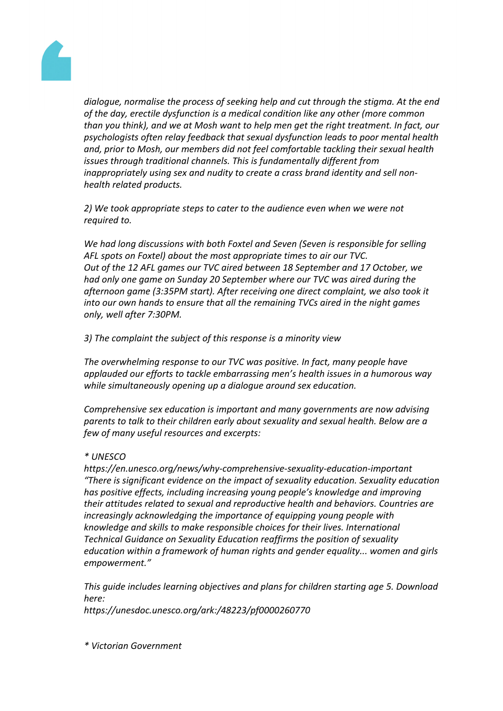

*dialogue, normalise the process of seeking help and cut through the stigma. At the end of the day, erectile dysfunction is a medical condition like any other (more common than you think), and we at Mosh want to help men get the right treatment. In fact, our psychologists often relay feedback that sexual dysfunction leads to poor mental health and, prior to Mosh, our members did not feel comfortable tackling their sexual health issues through traditional channels. This is fundamentally different from inappropriately using sex and nudity to create a crass brand identity and sell nonhealth related products.* 

*2) We took appropriate steps to cater to the audience even when we were not required to.*

*We had long discussions with both Foxtel and Seven (Seven is responsible for selling AFL spots on Foxtel) about the most appropriate times to air our TVC. Out of the 12 AFL games our TVC aired between 18 September and 17 October, we had only one game on Sunday 20 September where our TVC was aired during the afternoon game (3:35PM start). After receiving one direct complaint, we also took it into our own hands to ensure that all the remaining TVCs aired in the night games only, well after 7:30PM.*

*3) The complaint the subject of this response is a minority view*

*The overwhelming response to our TVC was positive. In fact, many people have applauded our efforts to tackle embarrassing men's health issues in a humorous way while simultaneously opening up a dialogue around sex education.*

*Comprehensive sex education is important and many governments are now advising parents to talk to their children early about sexuality and sexual health. Below are a few of many useful resources and excerpts:*

## *\* UNESCO*

*https://en.unesco.org/news/why-comprehensive-sexuality-education-important "There is significant evidence on the impact of sexuality education. Sexuality education has positive effects, including increasing young people's knowledge and improving their attitudes related to sexual and reproductive health and behaviors. Countries are increasingly acknowledging the importance of equipping young people with knowledge and skills to make responsible choices for their lives. International Technical Guidance on Sexuality Education reaffirms the position of sexuality education within a framework of human rights and gender equality... women and girls empowerment."*

*This guide includes learning objectives and plans for children starting age 5. Download here:*

*https://unesdoc.unesco.org/ark:/48223/pf0000260770*

*\* Victorian Government*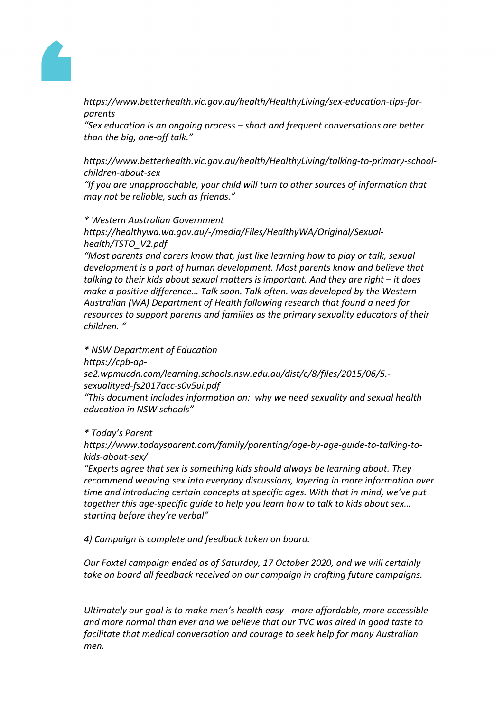

*https://www.betterhealth.vic.gov.au/health/HealthyLiving/sex-education-tips-forparents*

*"Sex education is an ongoing process – short and frequent conversations are better than the big, one-off talk."*

*https://www.betterhealth.vic.gov.au/health/HealthyLiving/talking-to-primary-schoolchildren-about-sex*

*"If you are unapproachable, your child will turn to other sources of information that may not be reliable, such as friends."*

## *\* Western Australian Government*

*https://healthywa.wa.gov.au/-/media/Files/HealthyWA/Original/Sexualhealth/TSTO\_V2.pdf*

*"Most parents and carers know that, just like learning how to play or talk, sexual development is a part of human development. Most parents know and believe that talking to their kids about sexual matters is important. And they are right – it does make a positive difference… Talk soon. Talk often. was developed by the Western Australian (WA) Department of Health following research that found a need for resources to support parents and families as the primary sexuality educators of their children. "*

*\* NSW Department of Education*

*https://cpb-ap-*

*se2.wpmucdn.com/learning.schools.nsw.edu.au/dist/c/8/files/2015/06/5. sexualityed-fs2017acc-s0v5ui.pdf*

*"This document includes information on: why we need sexuality and sexual health education in NSW schools"*

*\* Today's Parent*

*https://www.todaysparent.com/family/parenting/age-by-age-guide-to-talking-tokids-about-sex/*

*"Experts agree that sex is something kids should always be learning about. They recommend weaving sex into everyday discussions, layering in more information over time and introducing certain concepts at specific ages. With that in mind, we've put together this age-specific guide to help you learn how to talk to kids about sex… starting before they're verbal"*

*4) Campaign is complete and feedback taken on board.*

*Our Foxtel campaign ended as of Saturday, 17 October 2020, and we will certainly take on board all feedback received on our campaign in crafting future campaigns.*

*Ultimately our goal is to make men's health easy - more affordable, more accessible and more normal than ever and we believe that our TVC was aired in good taste to facilitate that medical conversation and courage to seek help for many Australian men.*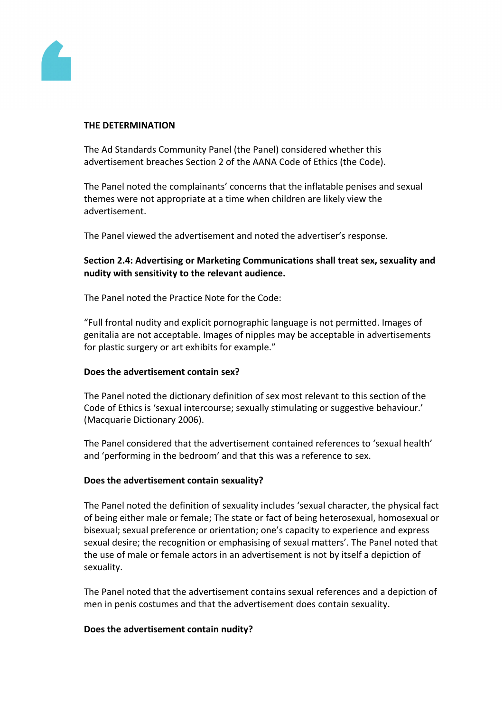

#### **THE DETERMINATION**

The Ad Standards Community Panel (the Panel) considered whether this advertisement breaches Section 2 of the AANA Code of Ethics (the Code).

The Panel noted the complainants' concerns that the inflatable penises and sexual themes were not appropriate at a time when children are likely view the advertisement.

The Panel viewed the advertisement and noted the advertiser's response.

# **Section 2.4: Advertising or Marketing Communications shall treat sex, sexuality and nudity with sensitivity to the relevant audience.**

The Panel noted the Practice Note for the Code:

"Full frontal nudity and explicit pornographic language is not permitted. Images of genitalia are not acceptable. Images of nipples may be acceptable in advertisements for plastic surgery or art exhibits for example."

## **Does the advertisement contain sex?**

The Panel noted the dictionary definition of sex most relevant to this section of the Code of Ethics is 'sexual intercourse; sexually stimulating or suggestive behaviour.' (Macquarie Dictionary 2006).

The Panel considered that the advertisement contained references to 'sexual health' and 'performing in the bedroom' and that this was a reference to sex.

## **Does the advertisement contain sexuality?**

The Panel noted the definition of sexuality includes 'sexual character, the physical fact of being either male or female; The state or fact of being heterosexual, homosexual or bisexual; sexual preference or orientation; one's capacity to experience and express sexual desire; the recognition or emphasising of sexual matters'. The Panel noted that the use of male or female actors in an advertisement is not by itself a depiction of sexuality.

The Panel noted that the advertisement contains sexual references and a depiction of men in penis costumes and that the advertisement does contain sexuality.

## **Does the advertisement contain nudity?**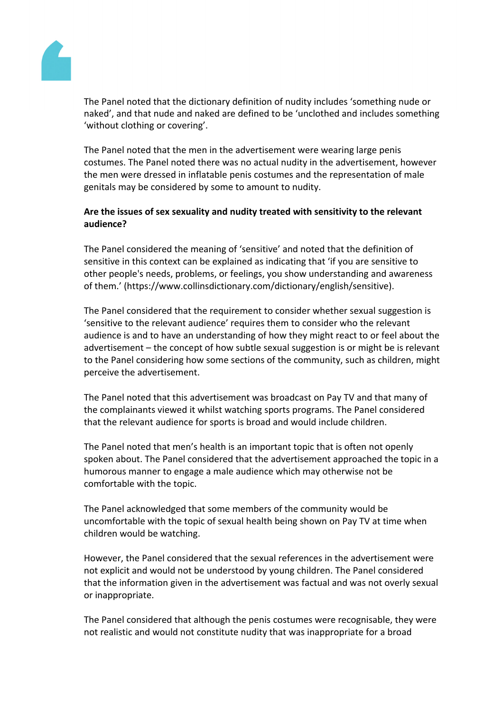

The Panel noted that the dictionary definition of nudity includes 'something nude or naked', and that nude and naked are defined to be 'unclothed and includes something 'without clothing or covering'.

The Panel noted that the men in the advertisement were wearing large penis costumes. The Panel noted there was no actual nudity in the advertisement, however the men were dressed in inflatable penis costumes and the representation of male genitals may be considered by some to amount to nudity.

## **Are the issues of sex sexuality and nudity treated with sensitivity to the relevant audience?**

The Panel considered the meaning of 'sensitive' and noted that the definition of sensitive in this context can be explained as indicating that 'if you are sensitive to other people's needs, problems, or feelings, you show understanding and awareness of them.' (https://www.collinsdictionary.com/dictionary/english/sensitive).

The Panel considered that the requirement to consider whether sexual suggestion is 'sensitive to the relevant audience' requires them to consider who the relevant audience is and to have an understanding of how they might react to or feel about the advertisement – the concept of how subtle sexual suggestion is or might be is relevant to the Panel considering how some sections of the community, such as children, might perceive the advertisement.

The Panel noted that this advertisement was broadcast on Pay TV and that many of the complainants viewed it whilst watching sports programs. The Panel considered that the relevant audience for sports is broad and would include children.

The Panel noted that men's health is an important topic that is often not openly spoken about. The Panel considered that the advertisement approached the topic in a humorous manner to engage a male audience which may otherwise not be comfortable with the topic.

The Panel acknowledged that some members of the community would be uncomfortable with the topic of sexual health being shown on Pay TV at time when children would be watching.

However, the Panel considered that the sexual references in the advertisement were not explicit and would not be understood by young children. The Panel considered that the information given in the advertisement was factual and was not overly sexual or inappropriate.

The Panel considered that although the penis costumes were recognisable, they were not realistic and would not constitute nudity that was inappropriate for a broad